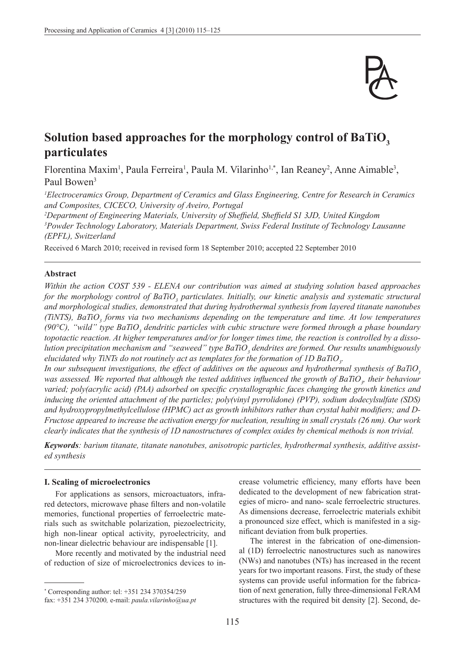

# Solution based approaches for the morphology control of BaTiO<sub>2</sub> **particulates**

Florentina Maxim<sup>1</sup>, Paula Ferreira<sup>1</sup>, Paula M. Vilarinho<sup>1,\*</sup>, Ian Reaney<sup>2</sup>, Anne Aimable<sup>3</sup>, Paul Bowen<sup>3</sup>

*1 Electroceramics Group, Department of Ceramics and Glass Engineering, Centre for Research in Ceramics and Composites, CICECO, University of Aveiro, Portugal*

*2 Department of Engineering Materials, University of Sheffield, Sheffield S1 3JD, United Kingdom 3 Powder Technology Laboratory, Materials Department, Swiss Federal Institute of Technology Lausanne (EPFL), Switzerland*

Received 6 March 2010; received in revised form 18 September 2010; accepted 22 September 2010

# **Abstract**

*Within the action COST 539 - ELENA our contribution was aimed at studying solution based approaches*  for the morphology control of BaTiO<sub>3</sub> particulates. Initially, our kinetic analysis and systematic structural *and morphological studies, demonstrated that during hydrothermal synthesis from layered titanate nanotubes (TiNTS), BaTiO<sub>3</sub> forms via two mechanisms depending on the temperature and time. At low temperatures* (90°C), "wild" type BaTiO<sub>3</sub> dendritic particles with cubic structure were formed through a phase boundary *topotactic reaction. At higher temperatures and/or for longer times time, the reaction is controlled by a disso*lution precipitation mechanism and "seaweed" type BaTiO<sub>3</sub> dendrites are formed. Our results unambiguously elucidated why TiNTs do not routinely act as templates for the formation of 1D BaTiO<sub>3</sub>.

*In our subsequent investigations, the effect of additives on the aqueous and hydrothermal synthesis of BaTiO<sup>3</sup>* was assessed. We reported that although the tested additives influenced the growth of BaTiO<sub>3</sub>, their behaviour *varied; poly(acrylic acid) (PAA) adsorbed on specific crystallographic faces changing the growth kinetics and inducing the oriented attachment of the particles; poly(vinyl pyrrolidone) (PVP), sodium dodecylsulfate (SDS) and hydroxypropylmethylcellulose (HPMC) act as growth inhibitors rather than crystal habit modifiers; and D-Fructose appeared to increase the activation energy for nucleation, resulting in small crystals (26 nm). Our work clearly indicates that the synthesis of 1D nanostructures of complex oxides by chemical methods is non trivial.* 

*Keywords: barium titanate, titanate nanotubes, anisotropic particles, hydrothermal synthesis, additive assisted synthesis*

### **I. Scaling of microelectronics**

For applications as sensors, microactuators, infrared detectors, microwave phase filters and non-volatile memories, functional properties of ferroelectric materials such as switchable polarization, piezoelectricity, high non-linear optical activity, pyroelectricity, and non-linear dielectric behaviour are indispensable [1].

More recently and motivated by the industrial need of reduction of size of microelectronics devices to increase volumetric efficiency, many efforts have been dedicated to the development of new fabrication strategies of micro- and nano- scale ferroelectric structures. As dimensions decrease, ferroelectric materials exhibit a pronounced size effect, which is manifested in a significant deviation from bulk properties.

The interest in the fabrication of one-dimensional (1D) ferroelectric nanostructures such as nanowires (NWs) and nanotubes (NTs) has increased in the recent years for two important reasons. First, the study of these systems can provide useful information for the fabrication of next generation, fully three-dimensional FeRAM structures with the required bit density [2]. Second, de-

<sup>\*</sup> Corresponding author: tel: +351 234 370354/259

fax: +351 234 370200*,* e-mail: *paula.vilarinho@ua.pt*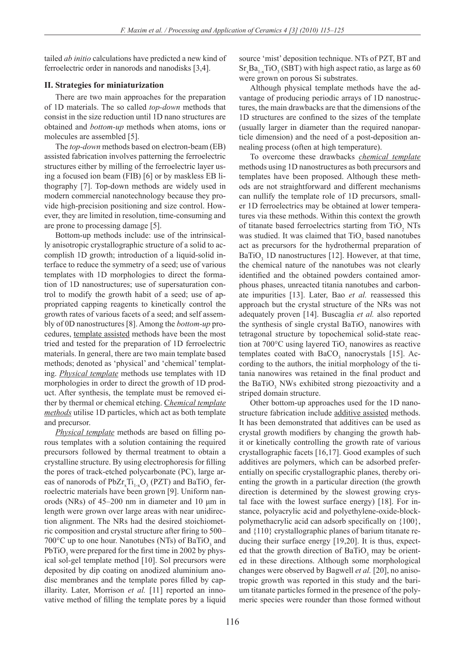tailed *ab initio* calculations have predicted a new kind of ferroelectric order in nanorods and nanodisks [3,4].

# **II. Strategies for miniaturization**

There are two main approaches for the preparation of 1D materials. The so called *top-down* methods that consist in the size reduction until 1D nano structures are obtained and *bottom-up* methods when atoms, ions or molecules are assembled [5].

The *top-down* methods based on electron-beam (EB) assisted fabrication involves patterning the ferroelectric structures either by milling of the ferroelectric layer using a focused ion beam (FIB) [6] or by maskless EB lithography [7]. Top-down methods are widely used in modern commercial nanotechnology because they provide high-precision positioning and size control. However, they are limited in resolution, time-consuming and are prone to processing damage [5].

Bottom-up methods include: use of the intrinsically anisotropic crystallographic structure of a solid to accomplish 1D growth; introduction of a liquid-solid interface to reduce the symmetry of a seed; use of various templates with 1D morphologies to direct the formation of 1D nanostructures; use of supersaturation control to modify the growth habit of a seed; use of appropriated capping reagents to kinetically control the growth rates of various facets of a seed; and self assembly of 0D nanostructures [8]. Among the *bottom-up* procedures, template assisted methods have been the most tried and tested for the preparation of 1D ferroelectric materials. In general, there are two main template based methods; denoted as 'physical' and 'chemical' templating. *Physical template* methods use templates with 1D morphologies in order to direct the growth of 1D product. After synthesis, the template must be removed either by thermal or chemical etching. C*hemical template methods* utilise 1D particles, which act as both template and precursor.

*Physical template* methods are based on filling porous templates with a solution containing the required precursors followed by thermal treatment to obtain a crystalline structure. By using electrophoresis for filling the pores of track-etched polycarbonate (PC), large areas of nanorods of  $PbZr_xTi_{1-x}O_3$  (PZT) and BaTiO<sub>3</sub> ferroelectric materials have been grown [9]. Uniform nanorods (NRs) of 45–200 nm in diameter and 10 μm in length were grown over large areas with near unidirection alignment. The NRs had the desired stoichiometric composition and crystal structure after firing to 500– 700 $^{\circ}$ C up to one hour. Nanotubes (NTs) of BaTiO<sub>3</sub> and  $PbTiO<sub>3</sub>$  were prepared for the first time in 2002 by physical sol-gel template method [10]. Sol precursors were deposited by dip coating on anodized aluminium anodisc membranes and the template pores filled by capillarity. Later, Morrison *et al.* [11] reported an innovative method of filling the template pores by a liquid

source 'mist' deposition technique. NTs of PZT, BT and  $Sr_xBa_{1-x}TiO_3(SBT)$  with high aspect ratio, as large as 60 were grown on porous Si substrates.

Although physical template methods have the advantage of producing periodic arrays of 1D nanostructures, the main drawbacks are that the dimensions of the 1D structures are confined to the sizes of the template (usually larger in diameter than the required nanoparticle dimension) and the need of a post-deposition annealing process (often at high temperature).

To overcome these drawbacks *chemical template* methods using 1D nanostructures as both precursors and templates have been proposed. Although these methods are not straightforward and different mechanisms can nullify the template role of 1D precursors, smaller 1D ferroelectrics may be obtained at lower temperatures via these methods. Within this context the growth of titanate based ferroelectrics starting from  $TiO<sub>2</sub> NTs$ was studied. It was claimed that  $TiO<sub>2</sub>$  based nanotubes act as precursors for the hydrothermal preparation of  $BaTiO<sub>3</sub>$  1D nanostructures [12]. However, at that time, the chemical nature of the nanotubes was not clearly identified and the obtained powders contained amorphous phases, unreacted titania nanotubes and carbonate impurities [13]. Later, Bao *et al.* reassessed this approach but the crystal structure of the NRs was not adequately proven [14]. Buscaglia *et al.* also reported the synthesis of single crystal  $BaTiO<sub>3</sub>$  nanowires with tetragonal structure by topochemical solid-state reaction at  $700^{\circ}$ C using layered TiO<sub>2</sub> nanowires as reactive templates coated with  $BaCO<sub>3</sub>$  nanocrystals [15]. According to the authors, the initial morphology of the titania nanowires was retained in the final product and the BaTiO<sub>3</sub> NWs exhibited strong piezoactivity and a striped domain structure.

Other bottom-up approaches used for the 1D nanostructure fabrication include additive assisted methods. It has been demonstrated that additives can be used as crystal growth modifiers by changing the growth habit or kinetically controlling the growth rate of various crystallographic facets [16,17]. Good examples of such additives are polymers, which can be adsorbed preferentially on specific crystallographic planes, thereby orienting the growth in a particular direction (the growth direction is determined by the slowest growing crystal face with the lowest surface energy) [18]. For instance, polyacrylic acid and polyethylene-oxide-blockpolymethacrylic acid can adsorb specifically on {100}, and {110} crystallographic planes of barium titanate reducing their surface energy [19,20]. It is thus, expected that the growth direction of  $BaTiO<sub>3</sub>$  may be oriented in these directions. Although some morphological changes were observed by Bagwell *et al.* [20], no anisotropic growth was reported in this study and the barium titanate particles formed in the presence of the polymeric species were rounder than those formed without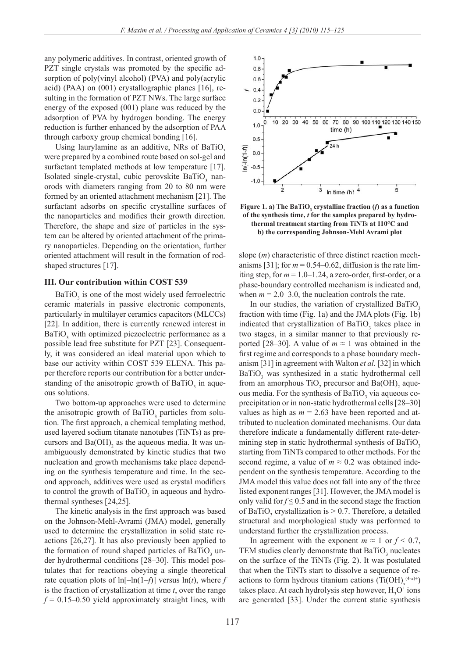any polymeric additives. In contrast, oriented growth of PZT single crystals was promoted by the specific adsorption of poly(vinyl alcohol) (PVA) and poly(acrylic acid) (PAA) on (001) crystallographic planes [16], resulting in the formation of PZT NWs. The large surface energy of the exposed (001) plane was reduced by the adsorption of PVA by hydrogen bonding. The energy reduction is further enhanced by the adsorption of PAA through carboxy group chemical bonding [16].

Using laurylamine as an additive, NRs of BaTiO<sub>3</sub> were prepared by a combined route based on sol-gel and surfactant templated methods at low temperature [17]. Isolated single-crystal, cubic perovskite  $BaTiO<sub>3</sub>$  nanorods with diameters ranging from 20 to 80 nm were formed by an oriented attachment mechanism [21]. The surfactant adsorbs on specific crystalline surfaces of the nanoparticles and modifies their growth direction. Therefore, the shape and size of particles in the system can be altered by oriented attachment of the primary nanoparticles. Depending on the orientation, further oriented attachment will result in the formation of rodshaped structures [17].

#### **III. Our contribution within COST 539**

 $BaTiO<sub>3</sub>$  is one of the most widely used ferroelectric ceramic materials in passive electronic components, particularly in multilayer ceramics capacitors (MLCCs) [22]. In addition, there is currently renewed interest in  $BaTiO<sub>3</sub>$  with optimized piezoelectric performance as a possible lead free substitute for PZT [23]. Consequently, it was considered an ideal material upon which to base our activity within COST 539 ELENA. This paper therefore reports our contribution for a better understanding of the anisotropic growth of  $BaTiO<sub>3</sub>$  in aqueous solutions.

Two bottom-up approaches were used to determine the anisotropic growth of  $BaTiO<sub>3</sub>$  particles from solution. The first approach, a chemical templating method, used layered sodium titanate nanotubes (TiNTs) as precursors and  $Ba(OH)$ <sub>2</sub> as the aqueous media. It was unambiguously demonstrated by kinetic studies that two nucleation and growth mechanisms take place depending on the synthesis temperature and time. In the second approach, additives were used as crystal modifiers to control the growth of  $BaTiO<sub>3</sub>$  in aqueous and hydrothermal syntheses [24,25].

The kinetic analysis in the first approach was based on the Johnson-Mehl-Avrami (JMA) model, generally used to determine the crystallization in solid state reactions [26,27]. It has also previously been applied to the formation of round shaped particles of  $BaTiO<sub>3</sub>$  under hydrothermal conditions [28–30]. This model postulates that for reactions obeying a single theoretical rate equation plots of  $\ln[-\ln(1-f)]$  versus  $\ln(t)$ , where *f* is the fraction of crystallization at time *t*, over the range  $f = 0.15 - 0.50$  yield approximately straight lines, with



**Figure 1. a)** The BaTiO<sub>3</sub> crystalline fraction (*f*) as a function **of the synthesis time,** *t* **for the samples prepared by hydrothermal treatment starting from TiNTs at 110°C and b) the corresponding Johnson-Mehl Avrami plot**

slope (*m*) characteristic of three distinct reaction mechanisms [31]; for  $m = 0.54 - 0.62$ , diffusion is the rate limiting step, for  $m = 1.0 - 1.24$ , a zero-order, first-order, or a phase-boundary controlled mechanism is indicated and, when  $m = 2.0 - 3.0$ , the nucleation controls the rate.

In our studies, the variation of crystallized BaTiO<sub>3</sub> fraction with time (Fig. 1a) and the JMA plots (Fig. 1b) indicated that crystallization of  $BaTiO<sub>3</sub>$  takes place in two stages, in a similar manner to that previously reported [28–30]. A value of  $m \approx 1$  was obtained in the first regime and corresponds to a phase boundary mechanism [31] in agreement with Walton *et al.* [32] in which  $BaTiO<sub>3</sub>$  was synthesized in a static hydrothermal cell from an amorphous  $TiO<sub>2</sub>$  precursor and  $Ba(OH)<sub>2</sub>$  aqueous media. For the synthesis of  $BaTiO<sub>3</sub>$  via aqueous coprecipitation or in non-static hydrothermal cells [28–30] values as high as  $m = 2.63$  have been reported and attributed to nucleation dominated mechanisms. Our data therefore indicate a fundamentally different rate-determining step in static hydrothermal synthesis of BaTiO<sub>3</sub> starting from TiNTs compared to other methods. For the second regime, a value of  $m \approx 0.2$  was obtained independent on the synthesis temperature. According to the JMA model this value does not fall into any of the three listed exponent ranges [31]. However, the JMA model is only valid for  $f \leq 0.5$  and in the second stage the fraction of BaTiO<sub>3</sub> crystallization is  $> 0.7$ . Therefore, a detailed structural and morphological study was performed to understand further the crystallization process.

In agreement with the exponent  $m \approx 1$  or  $f \le 0.7$ , TEM studies clearly demonstrate that  $BaTiO<sub>3</sub>$  nucleates on the surface of the TiNTs (Fig. 2). It was postulated that when the TiNTs start to dissolve a sequence of reactions to form hydrous titanium cations  $(Ti(OH)_x^{(4-x)+})$ takes place. At each hydrolysis step however,  $H_3O^+$  ions are generated [33]. Under the current static synthesis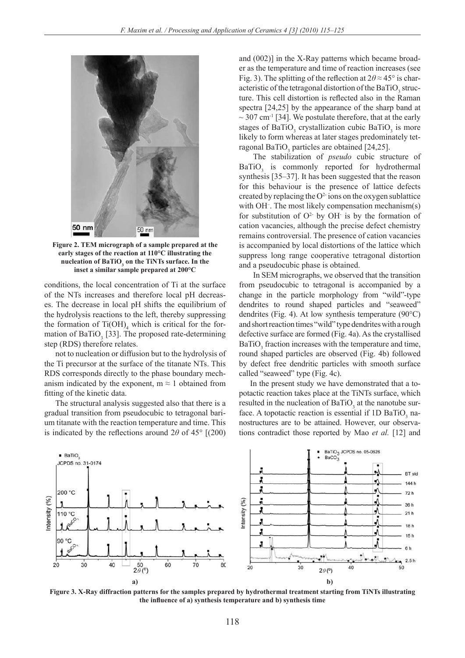

**Figure 2. TEM micrograph of a sample prepared at the early stages of the reaction at 110°C illustrating the** nucleation of BaTiO<sub>3</sub> on the TiNTs surface. In the **inset a similar sample prepared at 200°C**

conditions, the local concentration of Ti at the surface of the NTs increases and therefore local pH decreases. The decrease in local pH shifts the equilibrium of the hydrolysis reactions to the left, thereby suppressing the formation of  $Ti(OH)_{4}$  which is critical for the formation of BaTiO<sub>3</sub> [33]. The proposed rate-determining step (RDS) therefore relates.

not to nucleation or diffusion but to the hydrolysis of the Ti precursor at the surface of the titanate NTs. This RDS corresponds directly to the phase boundary mechanism indicated by the exponent,  $m \approx 1$  obtained from fitting of the kinetic data.

The structural analysis suggested also that there is a gradual transition from pseudocubic to tetragonal barium titanate with the reaction temperature and time. This is indicated by the reflections around  $2\theta$  of  $45^{\circ}$  [(200) and (002)] in the X-Ray patterns which became broader as the temperature and time of reaction increases (see Fig. 3). The splitting of the reflection at 2*θ* ≈ 45° is characteristic of the tetragonal distortion of the BaTiO<sub>3</sub> structure. This cell distortion is reflected also in the Raman spectra [24,25] by the appearance of the sharp band at  $\sim$  307 cm<sup>-1</sup> [34]. We postulate therefore, that at the early stages of  $BaTiO<sub>3</sub>$  crystallization cubic  $BaTiO<sub>3</sub>$  is more likely to form whereas at later stages predominately tetragonal BaTiO<sub>3</sub> particles are obtained [24,25].

The stabilization of *pseudo* cubic structure of  $BaTiO<sub>3</sub>$  is commonly reported for hydrothermal synthesis [35–37]. It has been suggested that the reason for this behaviour is the presence of lattice defects created by replacing the  $O<sup>2</sup>$  ions on the oxygen sublattice with OH<sup>-</sup>. The most likely compensation mechanism(s) for substitution of  $O^2$  by OH is by the formation of cation vacancies, although the precise defect chemistry remains controversial. The presence of cation vacancies is accompanied by local distortions of the lattice which suppress long range cooperative tetragonal distortion and a pseudocubic phase is obtained.

In SEM micrographs, we observed that the transition from pseudocubic to tetragonal is accompanied by a change in the particle morphology from "wild"-type dendrites to round shaped particles and "seaweed" dendrites (Fig. 4). At low synthesis temperature (90°C) and short reaction times "wild" type dendrites with a rough defective surface are formed (Fig. 4a). As the crystallised  $BaTiO<sub>3</sub>$  fraction increases with the temperature and time, round shaped particles are observed (Fig. 4b) followed by defect free dendritic particles with smooth surface called "seaweed" type (Fig. 4c).

In the present study we have demonstrated that a topotactic reaction takes place at the TiNTs surface, which resulted in the nucleation of  $BaTiO<sub>3</sub>$  at the nanotube surface. A topotactic reaction is essential if  $1D$  BaTiO<sub>3</sub> nanostructures are to be attained. However, our observations contradict those reported by Mao *et al.* [12] and



**Figure 3. X-Ray diffraction patterns for the samples prepared by hydrothermal treatment starting from TiNTs illustrating the influence of a) synthesis temperature and b) synthesis time**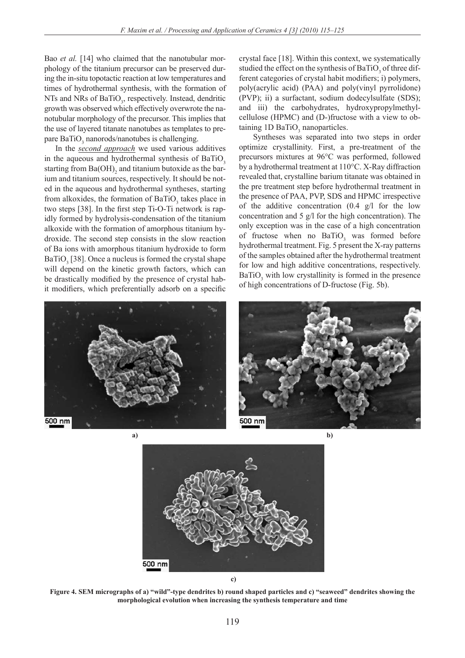Bao *et al.* [14] who claimed that the nanotubular morphology of the titanium precursor can be preserved during the in-situ topotactic reaction at low temperatures and times of hydrothermal synthesis, with the formation of NTs and NRs of  $BaTiO<sub>3</sub>$ , respectively. Instead, dendritic growth was observed which effectively overwrote the nanotubular morphology of the precursor. This implies that the use of layered titanate nanotubes as templates to prepare  $BaTiO<sub>3</sub>$  nanorods/nanotubes is challenging.

In the *second approach* we used various additives in the aqueous and hydrothermal synthesis of BaTiO<sub>3</sub> starting from  $Ba(OH)$ <sub>2</sub> and titanium butoxide as the barium and titanium sources, respectively. It should be noted in the aqueous and hydrothermal syntheses, starting from alkoxides, the formation of  $BaTiO<sub>3</sub>$  takes place in two steps [38]. In the first step Ti-O-Ti network is rapidly formed by hydrolysis-condensation of the titanium alkoxide with the formation of amorphous titanium hydroxide. The second step consists in the slow reaction of Ba ions with amorphous titanium hydroxide to form  $BaTiO<sub>3</sub>$  [38]. Once a nucleus is formed the crystal shape will depend on the kinetic growth factors, which can be drastically modified by the presence of crystal habit modifiers, which preferentially adsorb on a specific

crystal face [18]. Within this context, we systematically studied the effect on the synthesis of  $BaTiO<sub>3</sub>$  of three different categories of crystal habit modifiers; i) polymers, poly(acrylic acid) (PAA) and poly(vinyl pyrrolidone) (PVP); ii) a surfactant, sodium dodecylsulfate (SDS); and iii) the carbohydrates, hydroxypropylmethylcellulose (HPMC) and (D-)fructose with a view to obtaining  $1D$  BaTiO<sub>3</sub> nanoparticles.

Syntheses was separated into two steps in order optimize crystallinity. First, a pre-treatment of the precursors mixtures at 96°C was performed, followed by a hydrothermal treatment at 110°C. X-Ray diffraction revealed that, crystalline barium titanate was obtained in the pre treatment step before hydrothermal treatment in the presence of PAA, PVP, SDS and HPMC irrespective of the additive concentration (0.4 g/l for the low concentration and 5 g/l for the high concentration). The only exception was in the case of a high concentration of fructose when no  $BaTiO<sub>3</sub>$  was formed before hydrothermal treatment. Fig. 5 present the X-ray patterns of the samples obtained after the hydrothermal treatment for low and high additive concentrations, respectively.  $BaTiO<sub>3</sub>$  with low crystallinity is formed in the presence of high concentrations of D-fructose (Fig. 5b).





**a)**

**b)**



**c)**

**Figure 4. SEM micrographs of a) "wild"-type dendrites b) round shaped particles and c) "seaweed" dendrites showing the morphological evolution when increasing the synthesis temperature and time**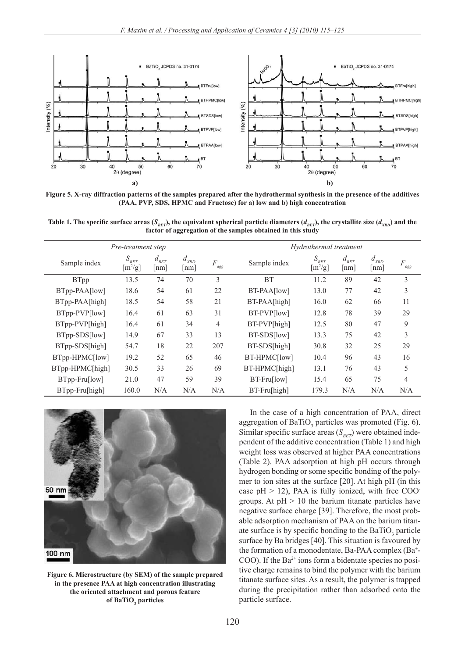

**Figure 5. X-ray diffraction patterns of the samples prepared after the hydrothermal synthesis in the presence of the additives (PAA, PVP, SDS, HPMC and Fructose) for a) low and b) high concentration**

Table 1. The specific surface areas ( $S_{BET}$ ), the equivalent spherical particle diameters ( $d_{BET}$ ), the crystallite size ( $d_{XRD}$ ) and the **factor of aggregation of the samples obtained in this study**

|                 | Pre-treatment step                        | Hydrothermal treatment             |                                                             |                |               |                                           |                                                        |                                         |                 |
|-----------------|-------------------------------------------|------------------------------------|-------------------------------------------------------------|----------------|---------------|-------------------------------------------|--------------------------------------------------------|-----------------------------------------|-----------------|
| Sample index    | $S_{\scriptscriptstyle BET}$<br>$[m^2/g]$ | $d_{_{BET}}$<br>$\lceil nm \rceil$ | $d_{\scriptscriptstyle \mathit{XRD}}$<br>$\lceil nm \rceil$ | F<br>agg       | Sample index  | $S_{BET}$<br>$\left[\frac{m^2}{g}\right]$ | $d_{\rm \scriptscriptstyle BET}$<br>$\lceil nm \rceil$ | $d_{\scriptscriptstyle XRD}^{}$<br>[nm] | $\cal F$<br>agg |
| <b>BTpp</b>     | 13.5                                      | 74                                 | 70                                                          | 3              | <b>BT</b>     | 11.2                                      | 89                                                     | 42                                      | 3               |
| BTpp-PAA[low]   | 18.6                                      | 54                                 | 61                                                          | 22             | BT-PAA[low]   | 13.0                                      | 77                                                     | 42                                      | 3               |
| BTpp-PAA[high]  | 18.5                                      | 54                                 | 58                                                          | 21             | BT-PAA[high]  | 16.0                                      | 62                                                     | 66                                      | 11              |
| BTpp-PVP[low]   | 16.4                                      | 61                                 | 63                                                          | 31             | BT-PVP[low]   | 12.8                                      | 78                                                     | 39                                      | 29              |
| BTpp-PVP[high]  | 16.4                                      | 61                                 | 34                                                          | $\overline{4}$ | BT-PVP[high]  | 12.5                                      | 80                                                     | 47                                      | 9               |
| BTpp-SDS[low]   | 14.9                                      | 67                                 | 33                                                          | 13             | BT-SDS[low]   | 13.3                                      | 75                                                     | 42                                      | 3               |
| BTpp-SDS[high]  | 54.7                                      | 18                                 | 22                                                          | 207            | BT-SDS[high]  | 30.8                                      | 32                                                     | 25                                      | 29              |
| BTpp-HPMC[low]  | 19.2                                      | 52                                 | 65                                                          | 46             | BT-HPMC[low]  | 10.4                                      | 96                                                     | 43                                      | 16              |
| BTpp-HPMC[high] | 30.5                                      | 33                                 | 26                                                          | 69             | BT-HPMC[high] | 13.1                                      | 76                                                     | 43                                      | 5               |
| BTpp-Fru[low]   | 21.0                                      | 47                                 | 59                                                          | 39             | BT-Fru[low]   | 15.4                                      | 65                                                     | 75                                      | 4               |
| BTpp-Fru[high]  | 160.0                                     | N/A                                | N/A                                                         | N/A            | BT-Fru[high]  | 179.3                                     | N/A                                                    | N/A                                     | N/A             |



**Figure 6. Microstructure (by SEM) of the sample prepared in the presence PAA at high concentration illustrating the oriented attachment and porous feature** of BaTiO<sub>3</sub> particles

In the case of a high concentration of PAA, direct aggregation of  $BaTiO<sub>3</sub>$  particles was promoted (Fig. 6). Similar specific surface areas (*SBET*) were obtained independent of the additive concentration (Table 1) and high weight loss was observed at higher PAA concentrations (Table 2). PAA adsorption at high pH occurs through hydrogen bonding or some specific bonding of the polymer to ion sites at the surface [20]. At high pH (in this case  $pH > 12$ ), PAA is fully ionized, with free COOgroups. At  $pH > 10$  the barium titanate particles have negative surface charge [39]. Therefore, the most probable adsorption mechanism of PAA on the barium titanate surface is by specific bonding to the  $BaTiO<sub>3</sub>$  particle surface by Ba bridges [40]. This situation is favoured by the formation of a monodentate, Ba-PAA complex (Ba+ - COO). If the  $Ba^{2+}$  ions form a bidentate species no positive charge remains to bind the polymer with the barium titanate surface sites. As a result, the polymer is trapped during the precipitation rather than adsorbed onto the particle surface.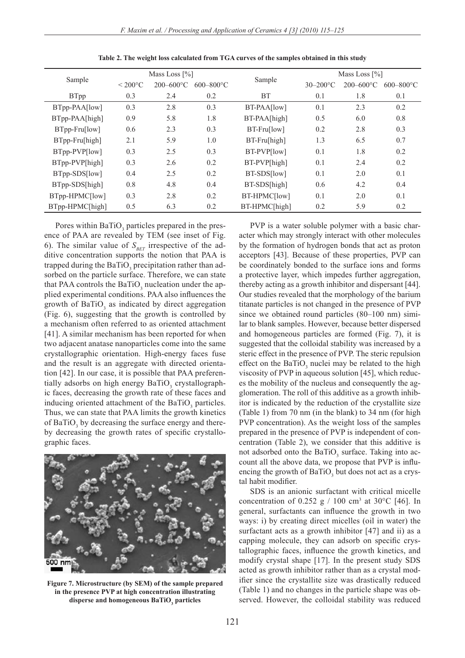| Sample          |                   | Mass Loss $\lceil\% \rceil$ |                |               | Mass Loss $\lceil\% \rceil$ |                |                |  |
|-----------------|-------------------|-----------------------------|----------------|---------------|-----------------------------|----------------|----------------|--|
|                 | $< 200^{\circ}$ C | $200 - 600$ °C              | $600 - 800$ °C | Sample        | $30 - 200$ °C               | $200 - 600$ °C | $600 - 800$ °C |  |
| <b>BTpp</b>     | 0.3               | 2.4                         | 0.2            | <b>BT</b>     | 0.1                         | 1.8            | 0.1            |  |
| BTpp-PAA[low]   | 0.3               | 2.8                         | 0.3            | BT-PAA[low]   | 0.1                         | 2.3            | 0.2            |  |
| BTpp-PAA[high]  | 0.9               | 5.8                         | 1.8            | BT-PAA[high]  | 0.5                         | 6.0            | 0.8            |  |
| BTpp-Fru[low]   | 0.6               | 2.3                         | 0.3            | BT-Fru[low]   | 0.2                         | 2.8            | 0.3            |  |
| BTpp-Fru[high]  | 2.1               | 5.9                         | 1.0            | BT-Fru[high]  | 1.3                         | 6.5            | 0.7            |  |
| BTpp-PVP[low]   | 0.3               | 2.5                         | 0.3            | BT-PVP[low]   | 0.1                         | 1.8            | 0.2            |  |
| BTpp-PVP[high]  | 0.3               | 2.6                         | 0.2            | BT-PVP[high]  | 0.1                         | 2.4            | 0.2            |  |
| BTpp-SDS[low]   | 0.4               | 2.5                         | 0.2            | BT-SDS[low]   | 0.1                         | 2.0            | 0.1            |  |
| BTpp-SDS[high]  | 0.8               | 4.8                         | 0.4            | BT-SDS[high]  | 0.6                         | 4.2            | 0.4            |  |
| BTpp-HPMC[low]  | 0.3               | 2.8                         | 0.2            | BT-HPMC[low]  | 0.1                         | 2.0            | 0.1            |  |
| BTpp-HPMC[high] | 0.5               | 6.3                         | 0.2            | BT-HPMC[high] | 0.2                         | 5.9            | 0.2            |  |

**Table 2. The weight loss calculated from TGA curves of the samples obtained in this study**

Pores within  $BaTiO<sub>3</sub>$  particles prepared in the presence of PAA are revealed by TEM (see inset of Fig. 6). The similar value of  $S_{BET}$  irrespective of the additive concentration supports the notion that PAA is trapped during the  $BaTiO_3$  precipitation rather than adsorbed on the particle surface. Therefore, we can state that PAA controls the  $BaTiO_3$  nucleation under the applied experimental conditions. PAA also influences the growth of  $BaTiO<sub>3</sub>$  as indicated by direct aggregation (Fig. 6), suggesting that the growth is controlled by a mechanism often referred to as oriented attachment [41]. A similar mechanism has been reported for when two adjacent anatase nanoparticles come into the same crystallographic orientation. High-energy faces fuse and the result is an aggregate with directed orientation [42]. In our case, it is possible that PAA preferentially adsorbs on high energy  $\text{BaTiO}_3$  crystallographic faces, decreasing the growth rate of these faces and inducing oriented attachment of the BaTiO<sub>3</sub> particles. Thus, we can state that PAA limits the growth kinetics of  $BaTiO<sub>3</sub>$  by decreasing the surface energy and thereby decreasing the growth rates of specific crystallographic faces.



**Figure 7. Microstructure (by SEM) of the sample prepared in the presence PVP at high concentration illustrating** disperse and homogeneous BaTiO<sub>3</sub> particles

PVP is a water soluble polymer with a basic character which may strongly interact with other molecules by the formation of hydrogen bonds that act as proton acceptors [43]. Because of these properties, PVP can be coordinately bonded to the surface ions and forms a protective layer, which impedes further aggregation, thereby acting as a growth inhibitor and dispersant [44]. Our studies revealed that the morphology of the barium titanate particles is not changed in the presence of PVP since we obtained round particles (80–100 nm) similar to blank samples. However, because better dispersed and homogeneous particles are formed (Fig. 7), it is suggested that the colloidal stability was increased by a steric effect in the presence of PVP. The steric repulsion effect on the  $BaTiO<sub>3</sub>$  nuclei may be related to the high viscosity of PVP in aqueous solution [45], which reduces the mobility of the nucleus and consequently the agglomeration. The roll of this additive as a growth inhibitor is indicated by the reduction of the crystallite size (Table 1) from 70 nm (in the blank) to 34 nm (for high PVP concentration). As the weight loss of the samples prepared in the presence of PVP is independent of concentration (Table 2), we consider that this additive is not adsorbed onto the  $BaTiO<sub>3</sub>$  surface. Taking into account all the above data, we propose that PVP is influencing the growth of  $BaTiO_3$  but does not act as a crystal habit modifier.

SDS is an anionic surfactant with critical micelle concentration of 0.252 g / 100 cm<sup>3</sup> at 30°C [46]. In general, surfactants can influence the growth in two ways: i) by creating direct micelles (oil in water) the surfactant acts as a growth inhibitor [47] and ii) as a capping molecule, they can adsorb on specific crystallographic faces, influence the growth kinetics, and modify crystal shape [17]. In the present study SDS acted as growth inhibitor rather than as a crystal modifier since the crystallite size was drastically reduced (Table 1) and no changes in the particle shape was observed. However, the colloidal stability was reduced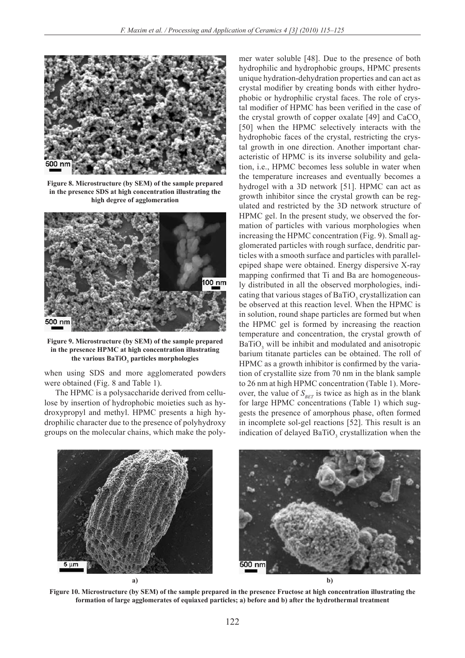

**Figure 8. Microstructure (by SEM) of the sample prepared in the presence SDS at high concentration illustrating the high degree of agglomeration**



**Figure 9. Microstructure (by SEM) of the sample prepared in the presence HPMC at high concentration illustrating**  the various BaTiO<sub>3</sub> particles morphologies

when using SDS and more agglomerated powders were obtained (Fig. 8 and Table 1).

The HPMC is a polysaccharide derived from cellulose by insertion of hydrophobic moieties such as hydroxypropyl and methyl. HPMC presents a high hydrophilic character due to the presence of polyhydroxy groups on the molecular chains, which make the polymer water soluble [48]. Due to the presence of both hydrophilic and hydrophobic groups, HPMC presents unique hydration-dehydration properties and can act as crystal modifier by creating bonds with either hydrophobic or hydrophilic crystal faces. The role of crystal modifier of HPMC has been verified in the case of the crystal growth of copper oxalate  $[49]$  and  $CaCO<sub>3</sub>$ [50] when the HPMC selectively interacts with the hydrophobic faces of the crystal, restricting the crystal growth in one direction. Another important characteristic of HPMC is its inverse solubility and gelation, i.e., HPMC becomes less soluble in water when the temperature increases and eventually becomes a hydrogel with a 3D network [51]. HPMC can act as growth inhibitor since the crystal growth can be regulated and restricted by the 3D network structure of HPMC gel. In the present study, we observed the formation of particles with various morphologies when increasing the HPMC concentration (Fig. 9). Small agglomerated particles with rough surface, dendritic particles with a smooth surface and particles with parallelepiped shape were obtained. Energy dispersive X-ray mapping confirmed that Ti and Ba are homogeneously distributed in all the observed morphologies, indicating that various stages of  $BaTiO<sub>3</sub>$  crystallization can be observed at this reaction level. When the HPMC is in solution, round shape particles are formed but when the HPMC gel is formed by increasing the reaction temperature and concentration, the crystal growth of  $BaTiO<sub>3</sub>$  will be inhibit and modulated and anisotropic barium titanate particles can be obtained. The roll of HPMC as a growth inhibitor is confirmed by the variation of crystallite size from 70 nm in the blank sample to 26 nm at high HPMC concentration (Table 1). Moreover, the value of  $S_{\text{BET}}$  is twice as high as in the blank for large HPMC concentrations (Table 1) which suggests the presence of amorphous phase, often formed in incomplete sol-gel reactions [52]. This result is an indication of delayed  $BaTiO<sub>3</sub>$  crystallization when the



**Figure 10. Microstructure (by SEM) of the sample prepared in the presence Fructose at high concentration illustrating the formation of large agglomerates of equiaxed particles; a) before and b) after the hydrothermal treatment**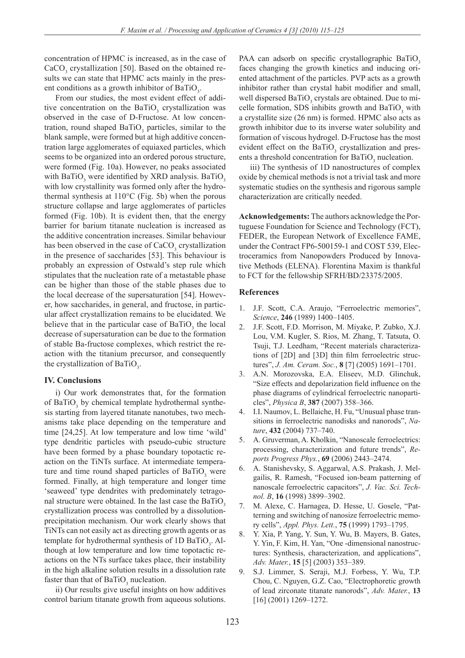concentration of HPMC is increased, as in the case of  $CaCO<sub>3</sub>$  crystallization [50]. Based on the obtained results we can state that HPMC acts mainly in the present conditions as a growth inhibitor of  $\text{BaTiO}_3$ .

From our studies, the most evident effect of additive concentration on the BaTiO<sub>3</sub> crystallization was observed in the case of D-Fructose. At low concentration, round shaped  $BaTiO<sub>3</sub>$  particles, similar to the blank sample, were formed but at high additive concentration large agglomerates of equiaxed particles, which seems to be organized into an ordered porous structure, were formed (Fig. 10a). However, no peaks associated with BaTiO<sub>3</sub> were identified by XRD analysis. BaTiO<sub>3</sub> with low crystallinity was formed only after the hydrothermal synthesis at 110°C (Fig. 5b) when the porous structure collapse and large agglomerates of particles formed (Fig. 10b). It is evident then, that the energy barrier for barium titanate nucleation is increased as the additive concentration increases. Similar behaviour has been observed in the case of  $CaCO<sub>3</sub>$  crystallization in the presence of saccharides [53]. This behaviour is probably an expression of Ostwald's step rule which stipulates that the nucleation rate of a metastable phase can be higher than those of the stable phases due to the local decrease of the supersaturation [54]. However, how saccharides, in general, and fructose, in particular affect crystallization remains to be elucidated. We believe that in the particular case of  $BaTiO<sub>3</sub>$  the local decrease of supersaturation can be due to the formation of stable Ba-fructose complexes, which restrict the reaction with the titanium precursor, and consequently the crystallization of  $\text{BaTiO}_3$ .

# **IV. Conclusions**

i) Our work demonstrates that, for the formation of BaTiO<sub>3</sub> by chemical template hydrothermal synthesis starting from layered titanate nanotubes, two mechanisms take place depending on the temperature and time [24,25]. At low temperature and low time 'wild' type dendritic particles with pseudo-cubic structure have been formed by a phase boundary topotactic reaction on the TiNTs surface. At intermediate temperature and time round shaped particles of  $BaTiO<sub>3</sub>$  were formed. Finally, at high temperature and longer time 'seaweed' type dendrites with predominately tetragonal structure were obtained. In the last case the  $BaTiO<sub>3</sub>$ crystallization process was controlled by a dissolutionprecipitation mechanism. Our work clearly shows that TiNTs can not easily act as directing growth agents or as template for hydrothermal synthesis of  $1D$  BaTiO<sub>3</sub>. Although at low temperature and low time topotactic reactions on the NTs surface takes place, their instability in the high alkaline solution results in a dissolution rate faster than that of  $BaTiO_3$  nucleation.

ii) Our results give useful insights on how additives control barium titanate growth from aqueous solutions.

PAA can adsorb on specific crystallographic BaTiO<sub>3</sub> faces changing the growth kinetics and inducing oriented attachment of the particles. PVP acts as a growth inhibitor rather than crystal habit modifier and small, well dispersed  $BaTiO<sub>3</sub>$  crystals are obtained. Due to micelle formation, SDS inhibits growth and  $BaTiO<sub>3</sub>$  with a crystallite size (26 nm) is formed. HPMC also acts as growth inhibitor due to its inverse water solubility and formation of viscous hydrogel. D-Fructose has the most evident effect on the  $BaTiO<sub>3</sub>$  crystallization and presents a threshold concentration for  $BaTiO<sub>3</sub>$  nucleation.

iii) The synthesis of 1D nanostructures of complex oxide by chemical methods is not a trivial task and more systematic studies on the synthesis and rigorous sample characterization are critically needed.

**Acknowledgements:** The authors acknowledge the Portuguese Foundation for Science and Technology (FCT), FEDER, the European Network of Excellence FAME, under the Contract FP6-500159-1 and COST 539, Electroceramics from Nanopowders Produced by Innovative Methods (ELENA). Florentina Maxim is thankful to FCT for the fellowship SFRH/BD/23375/2005.

## **References**

- 1. J.F. Scott, C.A. Araujo, "Ferroelectric memories", *Science*, **246** (1989) 1400–1405.
- 2. J.F. Scott, F.D. Morrison, M. Miyake, P. Zubko, X.J. Lou, V.M. Kugler, S. Rios, M. Zhang, T. Tatsuta, O. Tsuji, T.J. Leedham, "Recent materials characterizations of [2D] and [3D] thin film ferroelectric structures", *J. Am. Ceram. Soc.*, **8** [7] (2005) 1691–1701.
- 3. A.N. Morozovska, E.A. Eliseev, M.D. Glinchuk, "Size effects and depolarization field influence on the phase diagrams of cylindrical ferroelectric nanoparticles", *Physica B*, **387** (2007) 358–366.
- 4. I.I. Naumov, L. Bellaiche, H. Fu, "Unusual phase transitions in ferroelectric nanodisks and nanorods", *Nature*, **432** (2004) 737–740.
- 5. A. Gruverman, A. Kholkin, "Nanoscale ferroelectrics: processing, characterization and future trends", *Reports Progress Phys.*, **69** (2006) 2443–2474.
- 6. A. Stanishevsky, S. Aggarwal, A.S. Prakash, J. Melgailis, R. Ramesh, "Focused ion-beam patterning of nanoscale ferroelectric capacitors", *J. Vac. Sci. Technol. B*, **16** (1998) 3899–3902.
- M. Alexe, C. Harnagea, D. Hesse, U. Gosele, "Patterning and switching of nanosize ferroelectric memory cells", *Appl. Phys. Lett.*, **75** (1999) 1793–1795.
- 8. Y. Xia, P. Yang, Y. Sun, Y. Wu, B. Mayers, B. Gates, Y. Yin, F. Kim, H. Yan, "One -dimensional nanostructures: Synthesis, characterization, and applications", *Adv. Mater.*, **15** [5] (2003) 353–389.
- 9. S.J. Limmer, S. Seraji, M.J. Forbess, Y. Wu, T.P. Chou, C. Nguyen, G.Z. Cao, "Electrophoretic growth of lead zirconate titanate nanorods", *Adv. Mater.*, **13** [16] (2001) 1269–1272.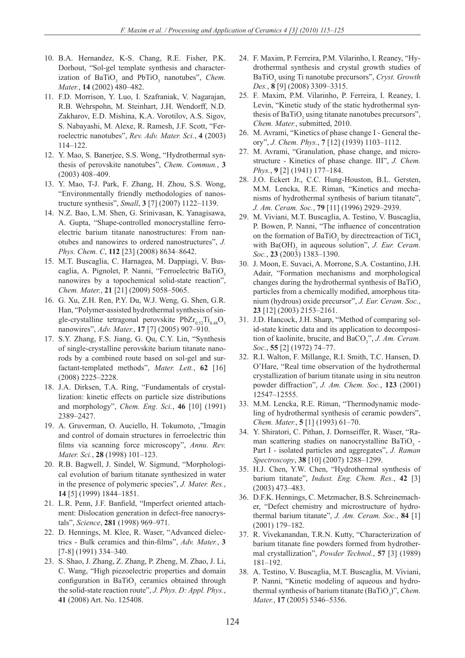- 10. B.A. Hernandez, K-S. Chang, R.E. Fisher, P.K. Dorhout, "Sol-gel template synthesis and characterization of  $BaTiO<sub>3</sub>$  and  $PbTiO<sub>3</sub>$  nanotubes", *Chem. Mater.*, **14** (2002) 480–482.
- 11. F.D. Morrison, Y. Luo, I. Szafraniak, V. Nagarajan, R.B. Wehrspohn, M. Steinhart, J.H. Wendorff, N.D. Zakharov, E.D. Mishina, K.A. Vorotilov, A.S. Sigov, S. Nabayashi, M. Alexe, R. Ramesh, J.F. Scott, "Ferroelectric nanotubes", *Rev. Adv. Mater. Sci.*, **4** (2003) 114–122.
- 12. Y. Mao, S. Banerjee, S.S. Wong, "Hydrothermal synthesis of perovskite nanotubes", *Chem. Commun.*, **3** (2003) 408–409.
- 13. Y. Mao, T-J. Park, F. Zhang, H. Zhou, S.S. Wong, "Environmentally friendly methodologies of nanostructure synthesis", *Small*, **3** [7] (2007) 1122–1139.
- 14. N.Z. Bao, L.M. Shen, G. Srinivasan, K. Yanagisawa, A. Gupta, "Shape-controlled monocrystalline ferroelectric barium titanate nanostructures: From nanotubes and nanowires to ordered nanostructures", *J. Phys. Chem. C*, **112** [23] (2008) 8634–8642.
- 15. M.T. Buscaglia, C. Harnagea, M. Dappiagi, V. Buscaglia, A. Pignolet, P. Nanni, "Ferroelectric BaTiO, nanowires by a topochemical solid-state reaction", *Chem. Mater.*, **21** [21] (2009) 5058–5065.
- 16. G. Xu, Z.H. Ren, P.Y. Du, W.J. Weng, G. Shen, G.R. Han, "Polymer-assisted hydrothermal synthesis of single-crystalline tetragonal perovskite  $PbZr_{0.52}Ti_{0.48}O_3$ nanowires", *Adv. Mater.*, **17** [7] (2005) 907–910.
- 17. S.Y. Zhang, F.S. Jiang, G. Qu, C.Y. Lin, "Synthesis of single-crystalline perovskite barium titanate nanorods by a combined route based on sol-gel and surfactant-templated methods", *Mater. Lett.*, **62** [16] (2008) 2225–2228.
- 18. J.A. Dirksen, T.A. Ring, "Fundamentals of crystallization: kinetic effects on particle size distributions and morphology", *Chem. Eng. Sci.*, **46** [10] (1991) 2389–2427.
- 19. A. Gruverman, O. Auciello, H. Tokumoto, ,"Imagin and control of domain structures in ferroelectric thin films via scanning force microscopy", *Annu. Rev. Mater. Sci.*, **28** (1998) 101–123.
- 20. R.B. Bagwell, J. Sindel, W. Sigmund, "Morphological evolution of barium titanate synthesized in water in the presence of polymeric species", *J. Mater. Res.*, **14** [5] (1999) 1844–1851.
- 21. L.R. Penn, J.F. Banfield, "Imperfect oriented attachment: Dislocation generation in defect-free nanocrystals", *Science*, **281** (1998) 969–971.
- 22. D. Hennings, M. Klee, R. Waser, "Advanced dielectrics - Bulk ceramics and thin-films", *Adv. Mater.*, **3** [7-8] (1991) 334–340.
- 23. S. Shao, J. Zhang, Z. Zhang, P. Zheng, M. Zhao, J. Li, C. Wang, "High piezoelectric properties and domain configuration in BaTiO<sub>3</sub> ceramics obtained through the solid-state reaction route", *J. Phys. D: Appl. Phys.*, **41** (2008) Art. No. 125408.
- 24. F. Maxim, P. Ferreira, P.M. Vilarinho, I. Reaney, "Hydrothermal synthesis and crystal growth studies of BaTiO<sub>3</sub> using Ti nanotube precursors", *Cryst. Growth Des.*, **8** [9] (2008) 3309–3315.
- 25. F. Maxim, P.M. Vilarinho, P. Ferreira, I. Reaney, I. Levin, "Kinetic study of the static hydrothermal synthesis of  $BaTiO<sub>3</sub>$  using titanate nanotubes precursors", *Chem. Mater.*, submitted, 2010.
- 26. M. Avrami, "Kinetics of phase change I General theory", *J. Chem. Phys.*, **7** [12] (1939) 1103–1112.
- 27. M. Avrami, "Granulation, phase change, and microstructure - Kinetics of phase change. III", *J. Chem. Phys.*, **9** [2] (1941) 177–184.
- 28. J.O. Eckert Jr., C.C. Hung-Houston, B.L. Gersten, M.M. Lencka, R.E. Riman, "Kinetics and mechanisms of hydrothermal synthesis of barium titanate", *J. Am. Ceram. Soc.*, **79** [11] (1996) 2929–2939.
- 29. M. Viviani, M.T. Buscaglia, A. Testino, V. Buscaglia, P. Bowen, P. Nanni, "The influence of concentration on the formation of BaTiO<sub>3</sub> by directreaction of TiCl<sub>4</sub> with  $Ba(OH)$ <sub>2</sub> in aqueous solution", *J. Eur. Ceram. Soc.*, **23** (2003) 1383–1390.
- 30. J. Moon, E. Suvaci, A. Morrone, S.A. Costantino, J.H. Adair, "Formation mechanisms and morphological changes during the hydrothermal synthesis of BaTiO<sub>2</sub> particles from a chemically modified, amorphous titanium (hydrous) oxide precursor", *J. Eur. Ceram. Soc.*, **23** [12] (2003) 2153–2161.
- 31. J.D. Hancock, J.H. Sharp, "Method of comparing solid-state kinetic data and its application to decomposition of kaolinite, brucite, and BaCO<sub>3</sub>", *J. Am. Ceram. Soc.*, **55** [2] (1972) 74–77.
- 32. R.I. Walton, F. Millange, R.I. Smith, T.C. Hansen, D. O'Hare, "Real time observation of the hydrothermal crystallization of barium titanate using in situ neutron powder diffraction", *J. Am. Chem. Soc.*, **123** (2001) 12547–12555.
- 33. M.M. Lencka, R.E. Riman, "Thermodynamic modeling of hydrothermal synthesis of ceramic powders", *Chem. Mater.*, **5** [1] (1993) 61–70.
- 34. Y. Shiratori, C. Pithan, J. Dornseiffer, R. Waser, "Raman scattering studies on nanocrystalline BaTiO<sub>3</sub> -Part I - isolated particles and aggregates", *J. Raman Spectroscopy*, **38** [10] (2007) 1288–1299.
- 35. H.J. Chen, Y.W. Chen, "Hydrothermal synthesis of barium titanate", *Indust. Eng. Chem. Res.*, **42** [3] (2003) 473–483.
- 36. D.F.K. Hennings, C. Metzmacher, B.S. Schreinemacher, "Defect chemistry and microstructure of hydrothermal barium titanate", *J. Am. Ceram. Soc.*, **84** [1] (2001) 179–182.
- 37. R. Vivekanandan, T.R.N. Kutty, "Characterization of barium titanate fine powders formed from hydrothermal crystallization", *Powder Technol.*, **57** [3] (1989) 181–192.
- 38. A. Testino, V. Buscaglia, M.T. Buscaglia, M. Viviani, P. Nanni, "Kinetic modeling of aqueous and hydrothermal synthesis of barium titanate (BaTiO<sub>3</sub>)", *Chem. Mater.*, **17** (2005) 5346–5356.